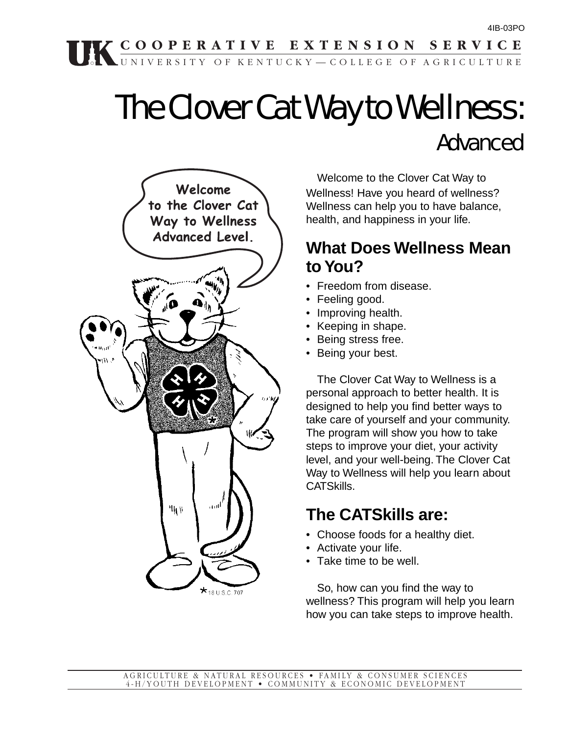# The Clover Cat Way to Wellness: Advanced



Welcome to the Clover Cat Way to Wellness! Have you heard of wellness? Wellness can help you to have balance, health, and happiness in your life.

### **What Does Wellness Mean to You?**

- Freedom from disease.
- Feeling good.
- Improving health.
- Keeping in shape.
- Being stress free.
- Being your best.

The Clover Cat Way to Wellness is a personal approach to better health. It is designed to help you find better ways to take care of yourself and your community. The program will show you how to take steps to improve your diet, your activity level, and your well-being. The Clover Cat Way to Wellness will help you learn about CATSkills.

### **The CATSkills are:**

- Choose foods for a healthy diet.
- Activate your life.
- Take time to be well.

So, how can you find the way to wellness? This program will help you learn how you can take steps to improve health.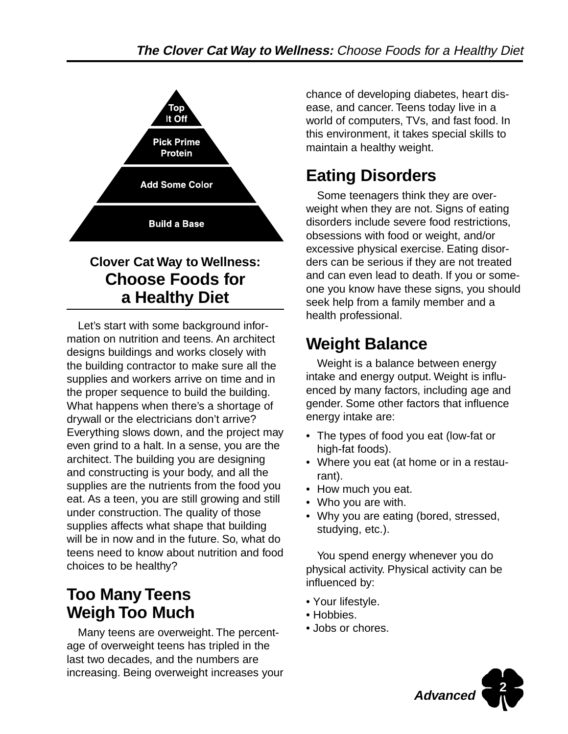

### **Clover Cat Way to Wellness: Choose Foods for a Healthy Diet**

Let's start with some background information on nutrition and teens. An architect designs buildings and works closely with the building contractor to make sure all the supplies and workers arrive on time and in the proper sequence to build the building. What happens when there's a shortage of drywall or the electricians don't arrive? Everything slows down, and the project may even grind to a halt. In a sense, you are the architect. The building you are designing and constructing is your body, and all the supplies are the nutrients from the food you eat. As a teen, you are still growing and still under construction. The quality of those supplies affects what shape that building will be in now and in the future. So, what do teens need to know about nutrition and food choices to be healthy?

# **Too Many Teens Weigh Too Much**

Many teens are overweight. The percentage of overweight teens has tripled in the last two decades, and the numbers are increasing. Being overweight increases your chance of developing diabetes, heart disease, and cancer. Teens today live in a world of computers, TVs, and fast food. In this environment, it takes special skills to maintain a healthy weight.

# **Eating Disorders**

Some teenagers think they are overweight when they are not. Signs of eating disorders include severe food restrictions, obsessions with food or weight, and/or excessive physical exercise. Eating disorders can be serious if they are not treated and can even lead to death. If you or someone you know have these signs, you should seek help from a family member and a health professional.

# **Weight Balance**

Weight is a balance between energy intake and energy output. Weight is influenced by many factors, including age and gender. Some other factors that influence energy intake are:

- The types of food you eat (low-fat or high-fat foods).
- Where you eat (at home or in a restaurant).
- How much you eat.
- Who you are with.
- Why you are eating (bored, stressed, studying, etc.).

You spend energy whenever you do physical activity. Physical activity can be influenced by:

- Your lifestyle.
- Hobbies.
- Jobs or chores.

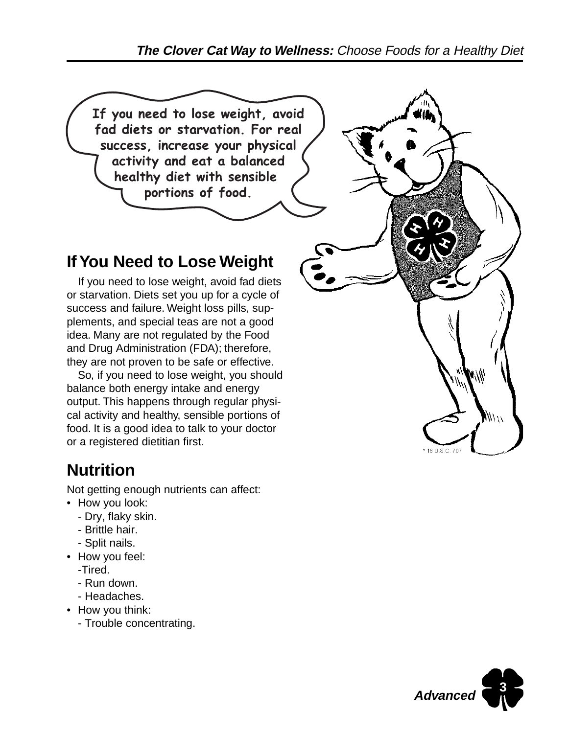

# **Nutrition**

Not getting enough nutrients can affect:

- How you look:
	- Dry, flaky skin.
	- Brittle hair.
	- Split nails.
- How you feel:
	- -Tired.
	- Run down.
	- Headaches.
- How you think:
	- Trouble concentrating.

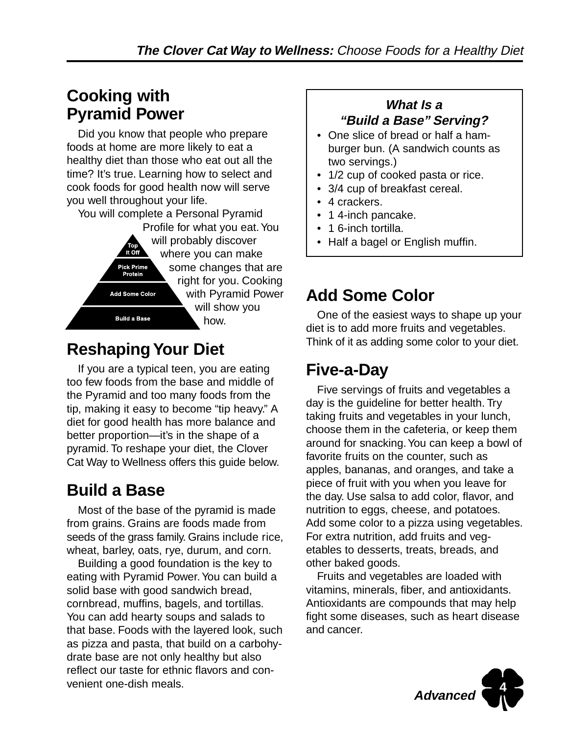### **Cooking with Pyramid Power**

Did you know that people who prepare foods at home are more likely to eat a healthy diet than those who eat out all the time? It's true. Learning how to select and cook foods for good health now will serve you well throughout your life.

You will complete a Personal Pyramid

Profile for what you eat. You will probably discover It Off where you can make some changes that are Pick Prime Protein right for you. Cooking with Pyramid Power Add Some Color will show you **Build a Base** how.

### **Reshaping Your Diet**

If you are a typical teen, you are eating too few foods from the base and middle of the Pyramid and too many foods from the tip, making it easy to become "tip heavy." A diet for good health has more balance and better proportion—it's in the shape of a pyramid. To reshape your diet, the Clover Cat Way to Wellness offers this guide below.

### **Build a Base**

Most of the base of the pyramid is made from grains. Grains are foods made from seeds of the grass family. Grains include rice, wheat, barley, oats, rye, durum, and corn.

Building a good foundation is the key to eating with Pyramid Power. You can build a solid base with good sandwich bread, cornbread, muffins, bagels, and tortillas. You can add hearty soups and salads to that base. Foods with the layered look, such as pizza and pasta, that build on a carbohydrate base are not only healthy but also reflect our taste for ethnic flavors and convenient one-dish meals.

#### **What Is a "Build a Base" Serving?**

- One slice of bread or half a hamburger bun. (A sandwich counts as two servings.)
- 1/2 cup of cooked pasta or rice.
- 3/4 cup of breakfast cereal.
- 4 crackers.
- 14-inch pancake.
- 1 6-inch tortilla.
- Half a bagel or English muffin.

# **Add Some Color**

One of the easiest ways to shape up your diet is to add more fruits and vegetables. Think of it as adding some color to your diet.

# **Five-a-Day**

Five servings of fruits and vegetables a day is the guideline for better health. Try taking fruits and vegetables in your lunch, choose them in the cafeteria, or keep them around for snacking. You can keep a bowl of favorite fruits on the counter, such as apples, bananas, and oranges, and take a piece of fruit with you when you leave for the day. Use salsa to add color, flavor, and nutrition to eggs, cheese, and potatoes. Add some color to a pizza using vegetables. For extra nutrition, add fruits and vegetables to desserts, treats, breads, and other baked goods.

Fruits and vegetables are loaded with vitamins, minerals, fiber, and antioxidants. Antioxidants are compounds that may help fight some diseases, such as heart disease and cancer.

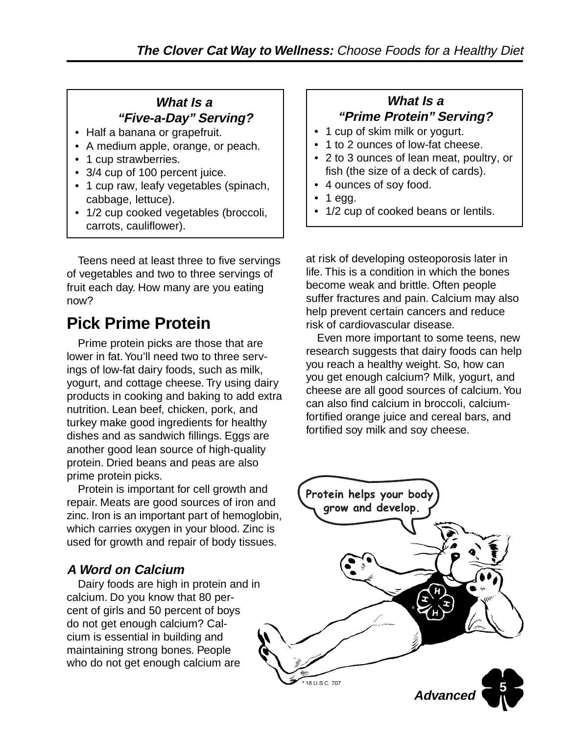#### **What Is a "Five-a-Day" Serving?**

- Half a banana or grapefruit.
- A medium apple, orange, or peach.
- 1 cup strawberries.
- 3/4 cup of 100 percent juice.
- 1 cup raw, leafy vegetables (spinach, cabbage, lettuce).
- 1/2 cup cooked vegetables (broccoli, carrots, cauliflower).

Teens need at least three to five servings of vegetables and two to three servings of fruit each day. How many are you eating now?

# **Pick Prime Protein**

Prime protein picks are those that are lower in fat. You'll need two to three servings of low-fat dairy foods, such as milk, yogurt, and cottage cheese. Try using dairy products in cooking and baking to add extra nutrition. Lean beef, chicken, pork, and turkey make good ingredients for healthy dishes and as sandwich fillings. Eggs are another good lean source of high-quality protein. Dried beans and peas are also prime protein picks.

Protein is important for cell growth and repair. Meats are good sources of iron and zinc. Iron is an important part of hemoglobin, which carries oxygen in your blood. Zinc is used for growth and repair of body tissues.

#### **A Word on Calcium**

Dairy foods are high in protein and in calcium. Do you know that 80 percent of girls and 50 percent of boys do not get enough calcium? Calcium is essential in building and maintaining strong bones. People who do not get enough calcium are

#### **What Is a "Prime Protein" Serving?**

- 1 cup of skim milk or yogurt.
- 1 to 2 ounces of low-fat cheese.
- 2 to 3 ounces of lean meat, poultry, or fish (the size of a deck of cards).
- 4 ounces of soy food.
- 1 egg.
- 1/2 cup of cooked beans or lentils.

at risk of developing osteoporosis later in life. This is a condition in which the bones become weak and brittle. Often people suffer fractures and pain. Calcium may also help prevent certain cancers and reduce risk of cardiovascular disease.

Even more important to some teens, new research suggests that dairy foods can help you reach a healthy weight. So, how can you get enough calcium? Milk, yogurt, and cheese are all good sources of calcium. You can also find calcium in broccoli, calciumfortified orange juice and cereal bars, and fortified soy milk and soy cheese.

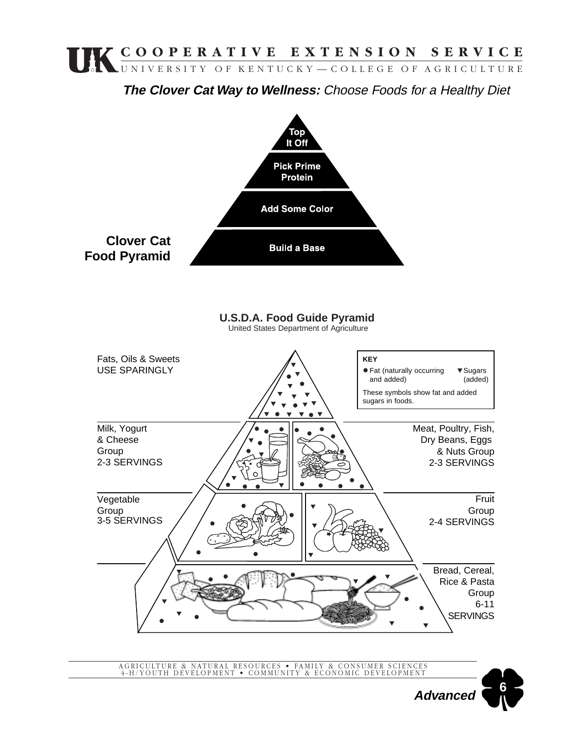**The Clover Cat Way to Wellness:** Choose Foods for a Healthy Diet



AGRICULTURE & NATURAL RESOURCES • FAMILY & CONSUMER SCIENCES 4-H/YOUTH DEVELOPMENT • COMMUNITY & ECONOMIC DEVELOPMENT

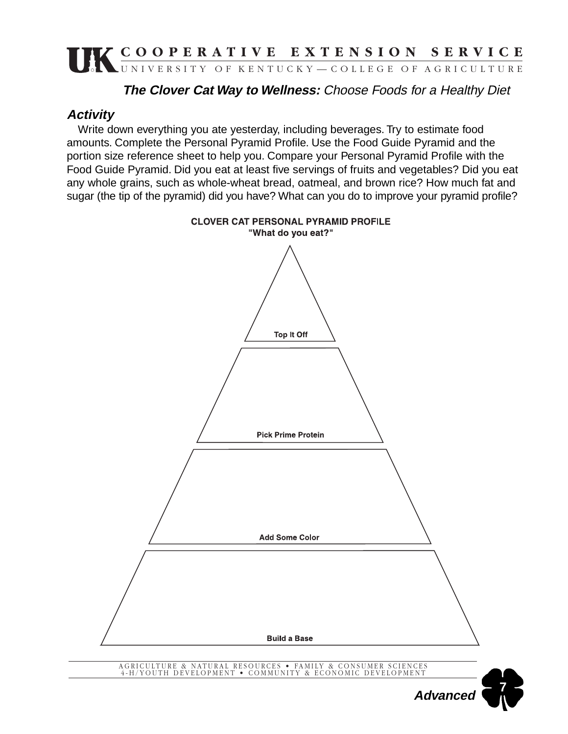#### **The Clover Cat Way to Wellness:** Choose Foods for a Healthy Diet

#### **Activity**

Write down everything you ate yesterday, including beverages. Try to estimate food amounts. Complete the Personal Pyramid Profile. Use the Food Guide Pyramid and the portion size reference sheet to help you. Compare your Personal Pyramid Profile with the Food Guide Pyramid. Did you eat at least five servings of fruits and vegetables? Did you eat any whole grains, such as whole-wheat bread, oatmeal, and brown rice? How much fat and sugar (the tip of the pyramid) did you have? What can you do to improve your pyramid profile?

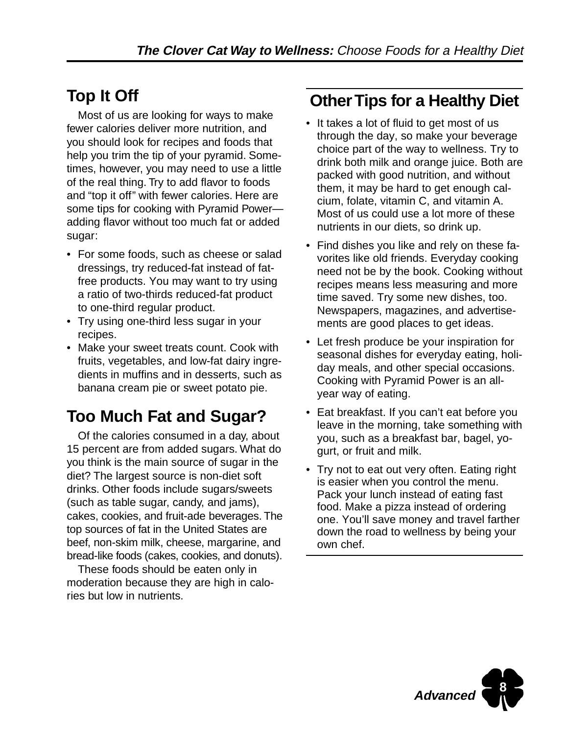# **Top It Off**

Most of us are looking for ways to make fewer calories deliver more nutrition, and you should look for recipes and foods that help you trim the tip of your pyramid. Sometimes, however, you may need to use a little of the real thing. Try to add flavor to foods and "top it off" with fewer calories. Here are some tips for cooking with Pyramid Power adding flavor without too much fat or added sugar:

- For some foods, such as cheese or salad dressings, try reduced-fat instead of fatfree products. You may want to try using a ratio of two-thirds reduced-fat product to one-third regular product.
- Try using one-third less sugar in your recipes.
- Make your sweet treats count. Cook with fruits, vegetables, and low-fat dairy ingredients in muffins and in desserts, such as banana cream pie or sweet potato pie.

# **Too Much Fat and Sugar?**

Of the calories consumed in a day, about 15 percent are from added sugars. What do you think is the main source of sugar in the diet? The largest source is non-diet soft drinks. Other foods include sugars/sweets (such as table sugar, candy, and jams), cakes, cookies, and fruit-ade beverages. The top sources of fat in the United States are beef, non-skim milk, cheese, margarine, and bread-like foods (cakes, cookies, and donuts).

These foods should be eaten only in moderation because they are high in calories but low in nutrients.

### **Other Tips for a Healthy Diet**

- It takes a lot of fluid to get most of us through the day, so make your beverage choice part of the way to wellness. Try to drink both milk and orange juice. Both are packed with good nutrition, and without them, it may be hard to get enough calcium, folate, vitamin C, and vitamin A. Most of us could use a lot more of these nutrients in our diets, so drink up.
- Find dishes you like and rely on these favorites like old friends. Everyday cooking need not be by the book. Cooking without recipes means less measuring and more time saved. Try some new dishes, too. Newspapers, magazines, and advertisements are good places to get ideas.
- Let fresh produce be your inspiration for seasonal dishes for everyday eating, holiday meals, and other special occasions. Cooking with Pyramid Power is an allyear way of eating.
- Eat breakfast. If you can't eat before you leave in the morning, take something with you, such as a breakfast bar, bagel, yogurt, or fruit and milk.
- Try not to eat out very often. Eating right is easier when you control the menu. Pack your lunch instead of eating fast food. Make a pizza instead of ordering one. You'll save money and travel farther down the road to wellness by being your own chef.

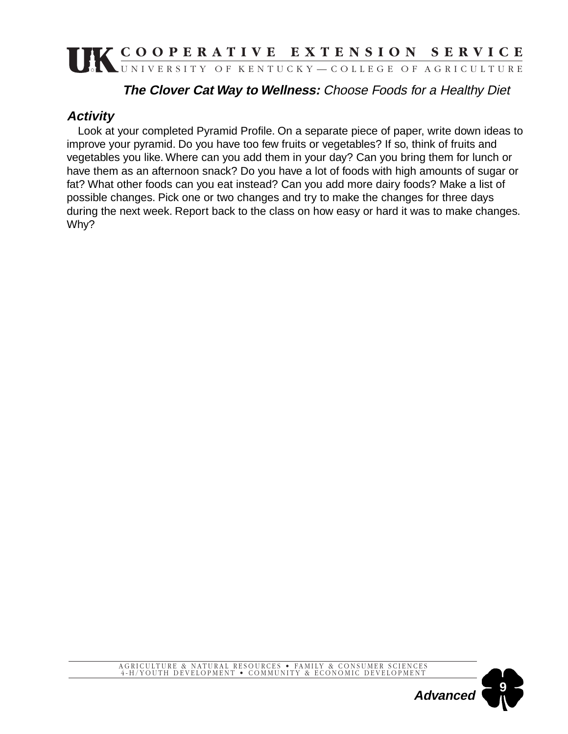#### **The Clover Cat Way to Wellness:** Choose Foods for a Healthy Diet

#### **Activity**

Look at your completed Pyramid Profile. On a separate piece of paper, write down ideas to improve your pyramid. Do you have too few fruits or vegetables? If so, think of fruits and vegetables you like. Where can you add them in your day? Can you bring them for lunch or have them as an afternoon snack? Do you have a lot of foods with high amounts of sugar or fat? What other foods can you eat instead? Can you add more dairy foods? Make a list of possible changes. Pick one or two changes and try to make the changes for three days during the next week. Report back to the class on how easy or hard it was to make changes. Why?

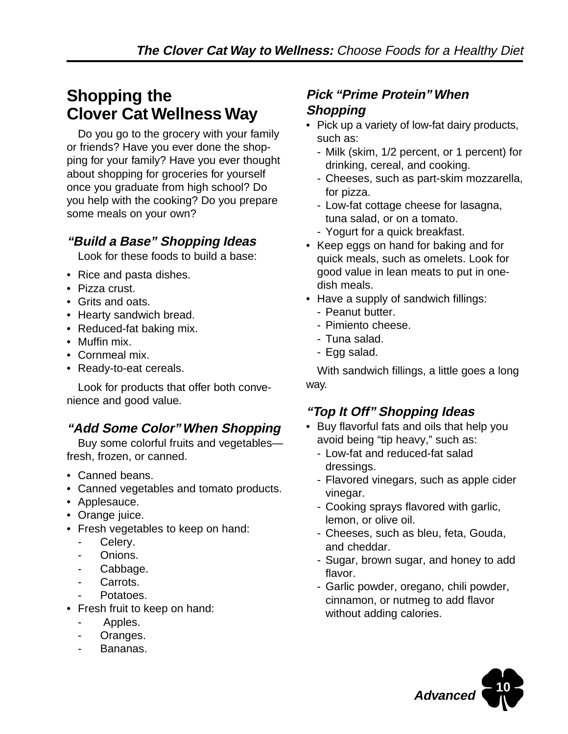### **Shopping the Clover Cat Wellness Way**

Do you go to the grocery with your family or friends? Have you ever done the shopping for your family? Have you ever thought about shopping for groceries for yourself once you graduate from high school? Do you help with the cooking? Do you prepare some meals on your own?

#### **"Build a Base" Shopping Ideas**

Look for these foods to build a base:

- Rice and pasta dishes.
- Pizza crust.
- Grits and oats.
- Hearty sandwich bread.
- Reduced-fat baking mix.
- Muffin mix.
- Cornmeal mix.
- Ready-to-eat cereals.

Look for products that offer both convenience and good value.

#### **"Add Some Color" When Shopping**

Buy some colorful fruits and vegetables fresh, frozen, or canned.

- Canned beans.
- Canned vegetables and tomato products.
- Applesauce.
- Orange juice.
- Fresh vegetables to keep on hand:
	- Celery.
	- Onions.
	- Cabbage.
	- Carrots.
	- Potatoes.
- Fresh fruit to keep on hand:
	- Apples.
	- Oranges.
	- Bananas.

#### **Pick "Prime Protein" When Shopping**

- Pick up a variety of low-fat dairy products, such as:
	- Milk (skim, 1/2 percent, or 1 percent) for drinking, cereal, and cooking.
	- Cheeses, such as part-skim mozzarella, for pizza.
	- Low-fat cottage cheese for lasagna, tuna salad, or on a tomato.
	- Yogurt for a quick breakfast.
- Keep eggs on hand for baking and for quick meals, such as omelets. Look for good value in lean meats to put in onedish meals.
- Have a supply of sandwich fillings:
	- Peanut butter.
	- Pimiento cheese.
	- Tuna salad.
	- Egg salad.

With sandwich fillings, a little goes a long way.

#### **"Top It Off" Shopping Ideas**

- Buy flavorful fats and oils that help you avoid being "tip heavy," such as:
	- Low-fat and reduced-fat salad dressings.
	- Flavored vinegars, such as apple cider vinegar.
	- Cooking sprays flavored with garlic, lemon, or olive oil.
	- Cheeses, such as bleu, feta, Gouda, and cheddar.
	- Sugar, brown sugar, and honey to add flavor.
	- Garlic powder, oregano, chili powder, cinnamon, or nutmeg to add flavor without adding calories.

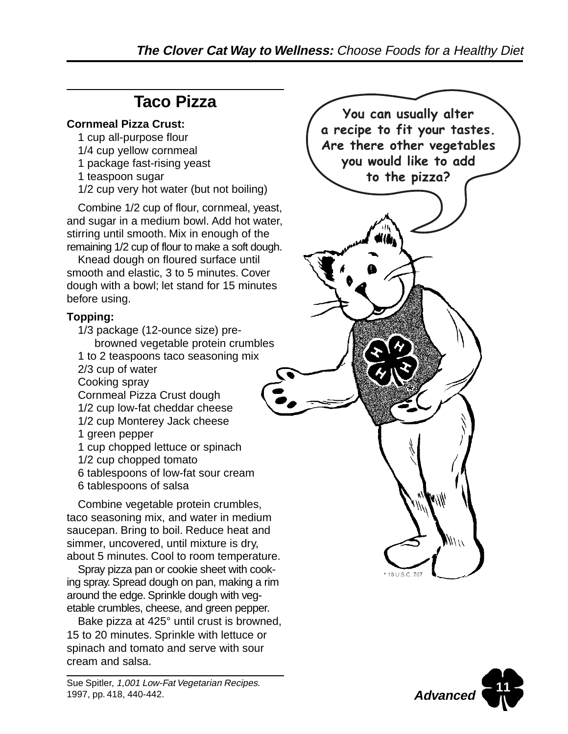# **Taco Pizza**

#### **Cornmeal Pizza Crust:**

- 1 cup all-purpose flour
- 1/4 cup yellow cornmeal
- 1 package fast-rising yeast
- 1 teaspoon sugar
- 1/2 cup very hot water (but not boiling)

Combine 1/2 cup of flour, cornmeal, yeast, and sugar in a medium bowl. Add hot water, stirring until smooth. Mix in enough of the remaining 1/2 cup of flour to make a soft dough.

Knead dough on floured surface until smooth and elastic, 3 to 5 minutes. Cover dough with a bowl; let stand for 15 minutes before using.

#### **Topping:**

1/3 package (12-ounce size) prebrowned vegetable protein crumbles 1 to 2 teaspoons taco seasoning mix 2/3 cup of water Cooking spray Cornmeal Pizza Crust dough 1/2 cup low-fat cheddar cheese 1/2 cup Monterey Jack cheese 1 green pepper 1 cup chopped lettuce or spinach 1/2 cup chopped tomato 6 tablespoons of low-fat sour cream 6 tablespoons of salsa

Combine vegetable protein crumbles, taco seasoning mix, and water in medium saucepan. Bring to boil. Reduce heat and simmer, uncovered, until mixture is dry, about 5 minutes. Cool to room temperature.

Spray pizza pan or cookie sheet with cooking spray. Spread dough on pan, making a rim around the edge. Sprinkle dough with vegetable crumbles, cheese, and green pepper.

Bake pizza at 425° until crust is browned, 15 to 20 minutes. Sprinkle with lettuce or spinach and tomato and serve with sour cream and salsa.



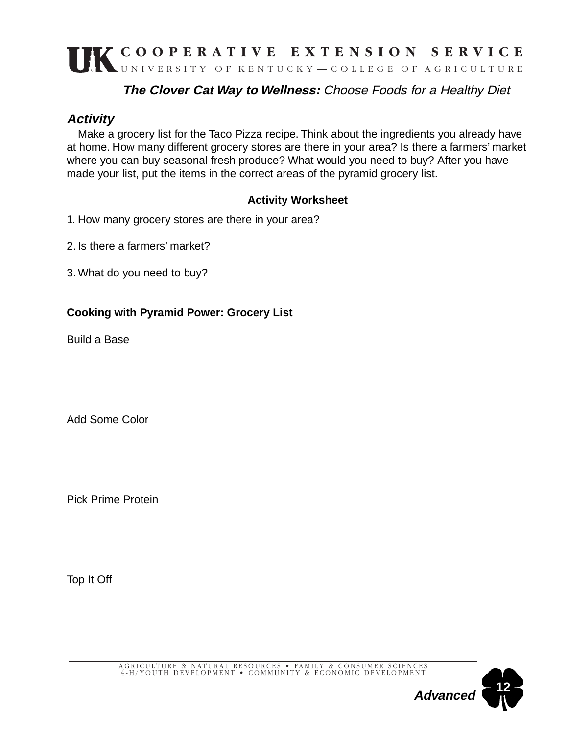#### **The Clover Cat Way to Wellness:** Choose Foods for a Healthy Diet

#### **Activity**

Make a grocery list for the Taco Pizza recipe. Think about the ingredients you already have at home. How many different grocery stores are there in your area? Is there a farmers' market where you can buy seasonal fresh produce? What would you need to buy? After you have made your list, put the items in the correct areas of the pyramid grocery list.

#### **Activity Worksheet**

- 1. How many grocery stores are there in your area?
- 2. Is there a farmers' market?
- 3. What do you need to buy?

#### **Cooking with Pyramid Power: Grocery List**

Build a Base

Add Some Color

Pick Prime Protein

Top It Off

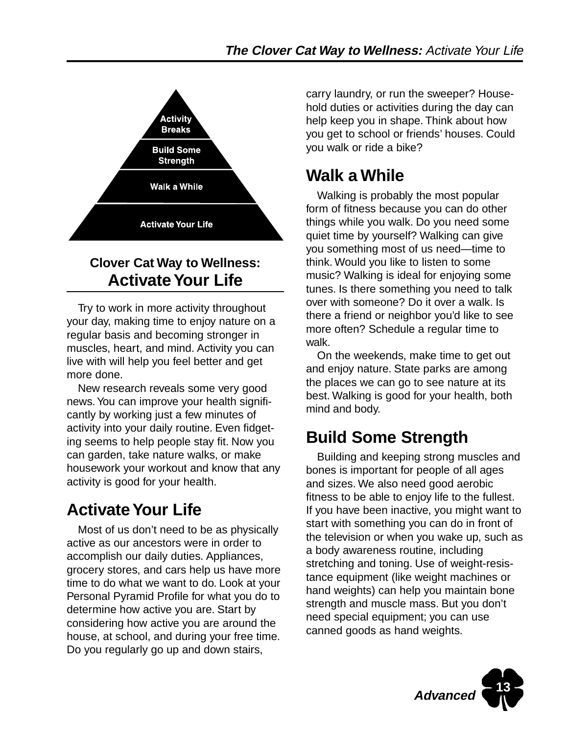

### **Clover Cat Way to Wellness: Activate Your Life**

Try to work in more activity throughout your day, making time to enjoy nature on a regular basis and becoming stronger in muscles, heart, and mind. Activity you can live with will help you feel better and get more done.

New research reveals some very good news. You can improve your health significantly by working just a few minutes of activity into your daily routine. Even fidgeting seems to help people stay fit. Now you can garden, take nature walks, or make housework your workout and know that any activity is good for your health.

# **Activate Your Life**

Most of us don't need to be as physically active as our ancestors were in order to accomplish our daily duties. Appliances, grocery stores, and cars help us have more time to do what we want to do. Look at your Personal Pyramid Profile for what you do to determine how active you are. Start by considering how active you are around the house, at school, and during your free time. Do you regularly go up and down stairs,

carry laundry, or run the sweeper? Household duties or activities during the day can help keep you in shape. Think about how you get to school or friends' houses. Could you walk or ride a bike?

# **Walk a While**

Walking is probably the most popular form of fitness because you can do other things while you walk. Do you need some quiet time by yourself? Walking can give you something most of us need—time to think. Would you like to listen to some music? Walking is ideal for enjoying some tunes. Is there something you need to talk over with someone? Do it over a walk. Is there a friend or neighbor you'd like to see more often? Schedule a regular time to walk.

On the weekends, make time to get out and enjoy nature. State parks are among the places we can go to see nature at its best. Walking is good for your health, both mind and body.

# **Build Some Strength**

Building and keeping strong muscles and bones is important for people of all ages and sizes. We also need good aerobic fitness to be able to enjoy life to the fullest. If you have been inactive, you might want to start with something you can do in front of the television or when you wake up, such as a body awareness routine, including stretching and toning. Use of weight-resistance equipment (like weight machines or hand weights) can help you maintain bone strength and muscle mass. But you don't need special equipment; you can use canned goods as hand weights.

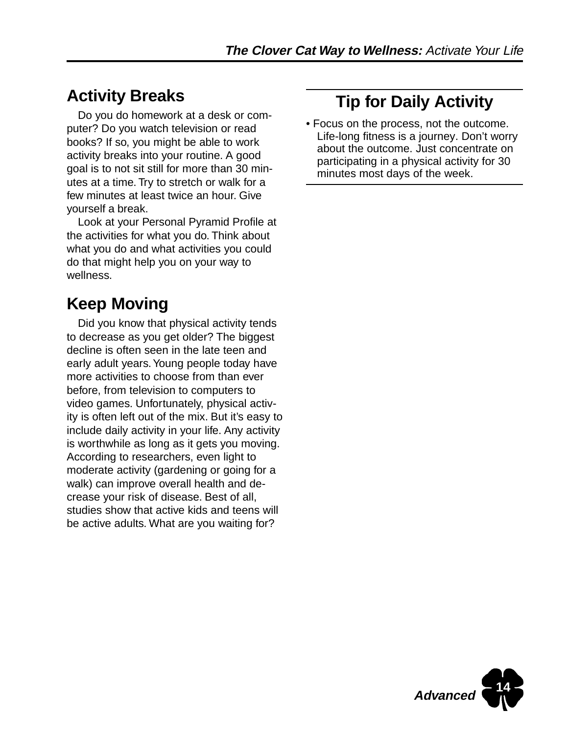# **Activity Breaks**

Do you do homework at a desk or computer? Do you watch television or read books? If so, you might be able to work activity breaks into your routine. A good goal is to not sit still for more than 30 minutes at a time. Try to stretch or walk for a few minutes at least twice an hour. Give yourself a break.

Look at your Personal Pyramid Profile at the activities for what you do. Think about what you do and what activities you could do that might help you on your way to wellness.

# **Keep Moving**

Did you know that physical activity tends to decrease as you get older? The biggest decline is often seen in the late teen and early adult years. Young people today have more activities to choose from than ever before, from television to computers to video games. Unfortunately, physical activity is often left out of the mix. But it's easy to include daily activity in your life. Any activity is worthwhile as long as it gets you moving. According to researchers, even light to moderate activity (gardening or going for a walk) can improve overall health and decrease your risk of disease. Best of all, studies show that active kids and teens will be active adults. What are you waiting for?

# **Tip for Daily Activity**

• Focus on the process, not the outcome. Life-long fitness is a journey. Don't worry about the outcome. Just concentrate on participating in a physical activity for 30 minutes most days of the week.

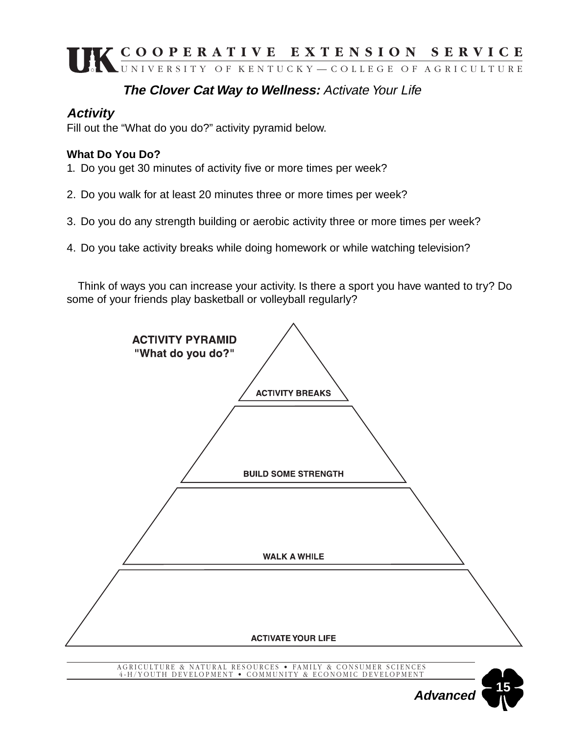#### **The Clover Cat Way to Wellness:** Activate Your Life

#### **Activity**

Fill out the "What do you do?" activity pyramid below.

#### **What Do You Do?**

1. Do you get 30 minutes of activity five or more times per week?

- 2. Do you walk for at least 20 minutes three or more times per week?
- 3. Do you do any strength building or aerobic activity three or more times per week?
- 4. Do you take activity breaks while doing homework or while watching television?

Think of ways you can increase your activity. Is there a sport you have wanted to try? Do some of your friends play basketball or volleyball regularly?

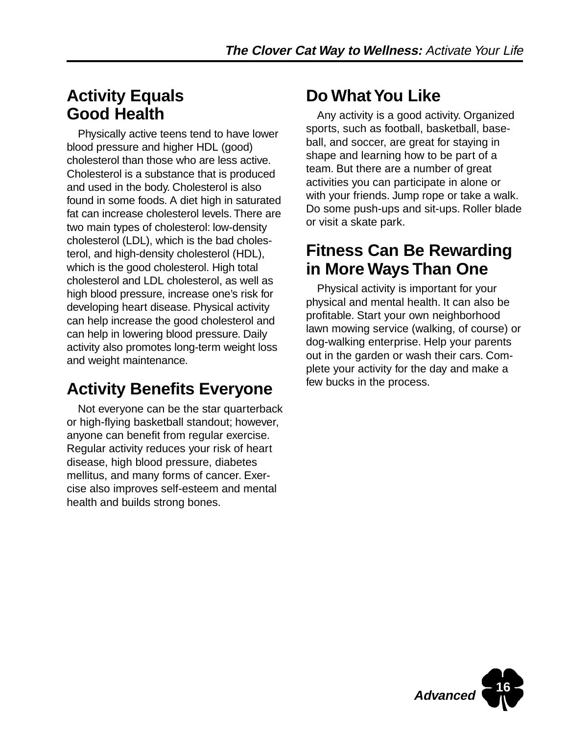### **Activity Equals Good Health**

Physically active teens tend to have lower blood pressure and higher HDL (good) cholesterol than those who are less active. Cholesterol is a substance that is produced and used in the body. Cholesterol is also found in some foods. A diet high in saturated fat can increase cholesterol levels. There are two main types of cholesterol: low-density cholesterol (LDL), which is the bad cholesterol, and high-density cholesterol (HDL), which is the good cholesterol. High total cholesterol and LDL cholesterol, as well as high blood pressure, increase one's risk for developing heart disease. Physical activity can help increase the good cholesterol and can help in lowering blood pressure. Daily activity also promotes long-term weight loss and weight maintenance.

# **Activity Benefits Everyone**

Not everyone can be the star quarterback or high-flying basketball standout; however, anyone can benefit from regular exercise. Regular activity reduces your risk of heart disease, high blood pressure, diabetes mellitus, and many forms of cancer. Exercise also improves self-esteem and mental health and builds strong bones.

# **Do What You Like**

Any activity is a good activity. Organized sports, such as football, basketball, baseball, and soccer, are great for staying in shape and learning how to be part of a team. But there are a number of great activities you can participate in alone or with your friends. Jump rope or take a walk. Do some push-ups and sit-ups. Roller blade or visit a skate park.

### **Fitness Can Be Rewarding in More Ways Than One**

Physical activity is important for your physical and mental health. It can also be profitable. Start your own neighborhood lawn mowing service (walking, of course) or dog-walking enterprise. Help your parents out in the garden or wash their cars. Complete your activity for the day and make a few bucks in the process.

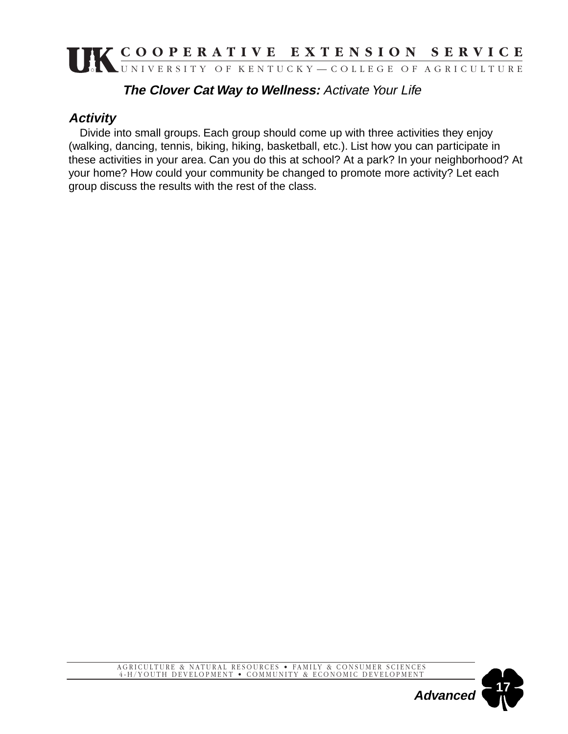#### **The Clover Cat Way to Wellness:** Activate Your Life

#### **Activity**

Divide into small groups. Each group should come up with three activities they enjoy (walking, dancing, tennis, biking, hiking, basketball, etc.). List how you can participate in these activities in your area. Can you do this at school? At a park? In your neighborhood? At your home? How could your community be changed to promote more activity? Let each group discuss the results with the rest of the class.



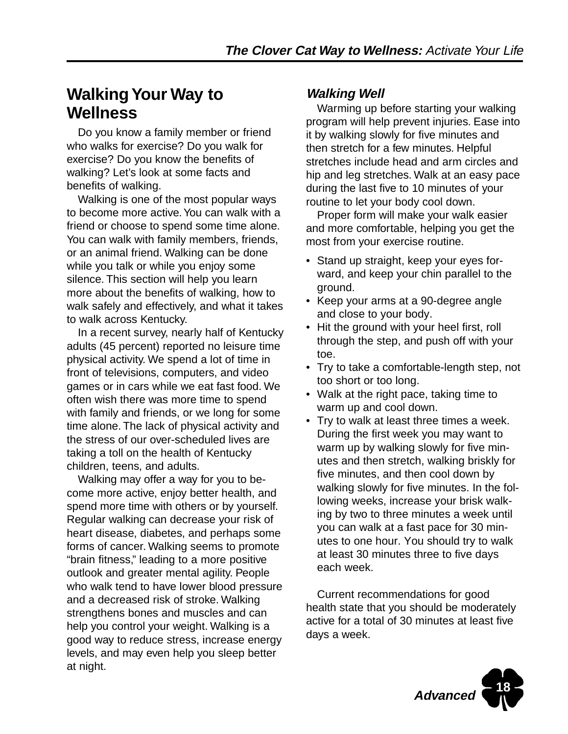### **Walking Your Way to Wellness**

Do you know a family member or friend who walks for exercise? Do you walk for exercise? Do you know the benefits of walking? Let's look at some facts and benefits of walking.

Walking is one of the most popular ways to become more active. You can walk with a friend or choose to spend some time alone. You can walk with family members, friends, or an animal friend. Walking can be done while you talk or while you enjoy some silence. This section will help you learn more about the benefits of walking, how to walk safely and effectively, and what it takes to walk across Kentucky.

In a recent survey, nearly half of Kentucky adults (45 percent) reported no leisure time physical activity. We spend a lot of time in front of televisions, computers, and video games or in cars while we eat fast food. We often wish there was more time to spend with family and friends, or we long for some time alone. The lack of physical activity and the stress of our over-scheduled lives are taking a toll on the health of Kentucky children, teens, and adults.

Walking may offer a way for you to become more active, enjoy better health, and spend more time with others or by yourself. Regular walking can decrease your risk of heart disease, diabetes, and perhaps some forms of cancer. Walking seems to promote "brain fitness," leading to a more positive outlook and greater mental agility. People who walk tend to have lower blood pressure and a decreased risk of stroke. Walking strengthens bones and muscles and can help you control your weight. Walking is a good way to reduce stress, increase energy levels, and may even help you sleep better at night.

#### **Walking Well**

Warming up before starting your walking program will help prevent injuries. Ease into it by walking slowly for five minutes and then stretch for a few minutes. Helpful stretches include head and arm circles and hip and leg stretches. Walk at an easy pace during the last five to 10 minutes of your routine to let your body cool down.

Proper form will make your walk easier and more comfortable, helping you get the most from your exercise routine.

- Stand up straight, keep your eyes forward, and keep your chin parallel to the ground.
- Keep your arms at a 90-degree angle and close to your body.
- Hit the ground with your heel first, roll through the step, and push off with your toe.
- Try to take a comfortable-length step, not too short or too long.
- Walk at the right pace, taking time to warm up and cool down.
- Try to walk at least three times a week. During the first week you may want to warm up by walking slowly for five minutes and then stretch, walking briskly for five minutes, and then cool down by walking slowly for five minutes. In the following weeks, increase your brisk walking by two to three minutes a week until you can walk at a fast pace for 30 minutes to one hour. You should try to walk at least 30 minutes three to five days each week.

Current recommendations for good health state that you should be moderately active for a total of 30 minutes at least five days a week.

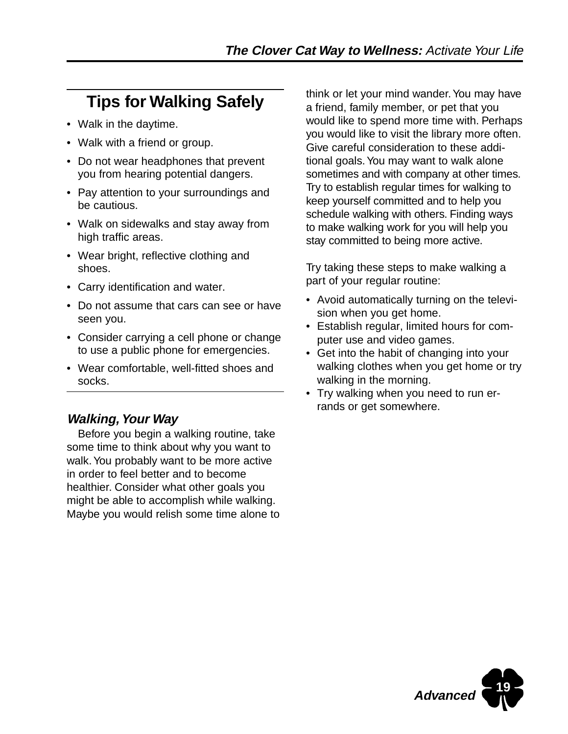# **Tips for Walking Safely**

- Walk in the daytime.
- Walk with a friend or group.
- Do not wear headphones that prevent you from hearing potential dangers.
- Pay attention to your surroundings and be cautious.
- Walk on sidewalks and stay away from high traffic areas.
- Wear bright, reflective clothing and shoes.
- Carry identification and water.
- Do not assume that cars can see or have seen you.
- Consider carrying a cell phone or change to use a public phone for emergencies.
- Wear comfortable, well-fitted shoes and socks.

#### **Walking, Your Way**

Before you begin a walking routine, take some time to think about why you want to walk. You probably want to be more active in order to feel better and to become healthier. Consider what other goals you might be able to accomplish while walking. Maybe you would relish some time alone to think or let your mind wander. You may have a friend, family member, or pet that you would like to spend more time with. Perhaps you would like to visit the library more often. Give careful consideration to these additional goals. You may want to walk alone sometimes and with company at other times. Try to establish regular times for walking to keep yourself committed and to help you schedule walking with others. Finding ways to make walking work for you will help you stay committed to being more active.

Try taking these steps to make walking a part of your regular routine:

- Avoid automatically turning on the television when you get home.
- Establish regular, limited hours for computer use and video games.
- Get into the habit of changing into your walking clothes when you get home or try walking in the morning.
- Try walking when you need to run errands or get somewhere.

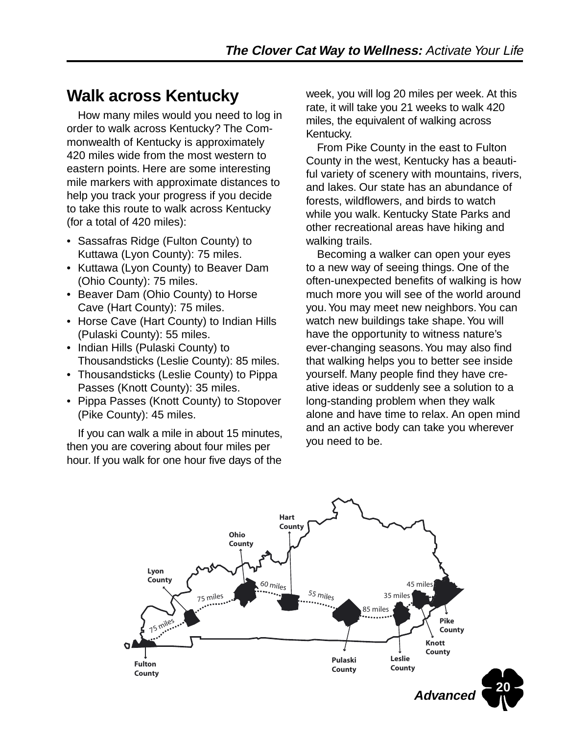## **Walk across Kentucky**

How many miles would you need to log in order to walk across Kentucky? The Commonwealth of Kentucky is approximately 420 miles wide from the most western to eastern points. Here are some interesting mile markers with approximate distances to help you track your progress if you decide to take this route to walk across Kentucky (for a total of 420 miles):

- Sassafras Ridge (Fulton County) to Kuttawa (Lyon County): 75 miles.
- Kuttawa (Lyon County) to Beaver Dam (Ohio County): 75 miles.
- Beaver Dam (Ohio County) to Horse Cave (Hart County): 75 miles.
- Horse Cave (Hart County) to Indian Hills (Pulaski County): 55 miles.
- Indian Hills (Pulaski County) to Thousandsticks (Leslie County): 85 miles.
- Thousandsticks (Leslie County) to Pippa Passes (Knott County): 35 miles.
- Pippa Passes (Knott County) to Stopover (Pike County): 45 miles.

If you can walk a mile in about 15 minutes, then you are covering about four miles per hour. If you walk for one hour five days of the

week, you will log 20 miles per week. At this rate, it will take you 21 weeks to walk 420 miles, the equivalent of walking across Kentucky.

From Pike County in the east to Fulton County in the west, Kentucky has a beautiful variety of scenery with mountains, rivers, and lakes. Our state has an abundance of forests, wildflowers, and birds to watch while you walk. Kentucky State Parks and other recreational areas have hiking and walking trails.

Becoming a walker can open your eyes to a new way of seeing things. One of the often-unexpected benefits of walking is how much more you will see of the world around you. You may meet new neighbors. You can watch new buildings take shape. You will have the opportunity to witness nature's ever-changing seasons. You may also find that walking helps you to better see inside yourself. Many people find they have creative ideas or suddenly see a solution to a long-standing problem when they walk alone and have time to relax. An open mind and an active body can take you wherever you need to be.

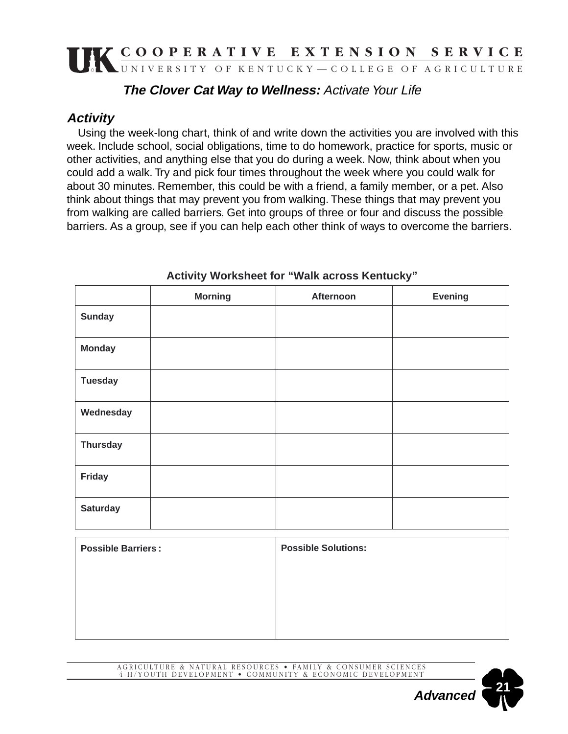#### **The Clover Cat Way to Wellness:** Activate Your Life

#### **Activity**

Using the week-long chart, think of and write down the activities you are involved with this week. Include school, social obligations, time to do homework, practice for sports, music or other activities, and anything else that you do during a week. Now, think about when you could add a walk. Try and pick four times throughout the week where you could walk for about 30 minutes. Remember, this could be with a friend, a family member, or a pet. Also think about things that may prevent you from walking. These things that may prevent you from walking are called barriers. Get into groups of three or four and discuss the possible barriers. As a group, see if you can help each other think of ways to overcome the barriers.

|                           | <b>Morning</b> | Afternoon                  | <b>Evening</b> |
|---------------------------|----------------|----------------------------|----------------|
| <b>Sunday</b>             |                |                            |                |
| <b>Monday</b>             |                |                            |                |
| <b>Tuesday</b>            |                |                            |                |
| Wednesday                 |                |                            |                |
| <b>Thursday</b>           |                |                            |                |
| Friday                    |                |                            |                |
| <b>Saturday</b>           |                |                            |                |
| <b>Possible Barriers:</b> |                | <b>Possible Solutions:</b> |                |

**Activity Worksheet for "Walk across Kentucky"**

| <b>Possible Barriers:</b> | <b>Possible Solutions:</b> |  |
|---------------------------|----------------------------|--|
|                           |                            |  |
|                           |                            |  |
|                           |                            |  |
|                           |                            |  |

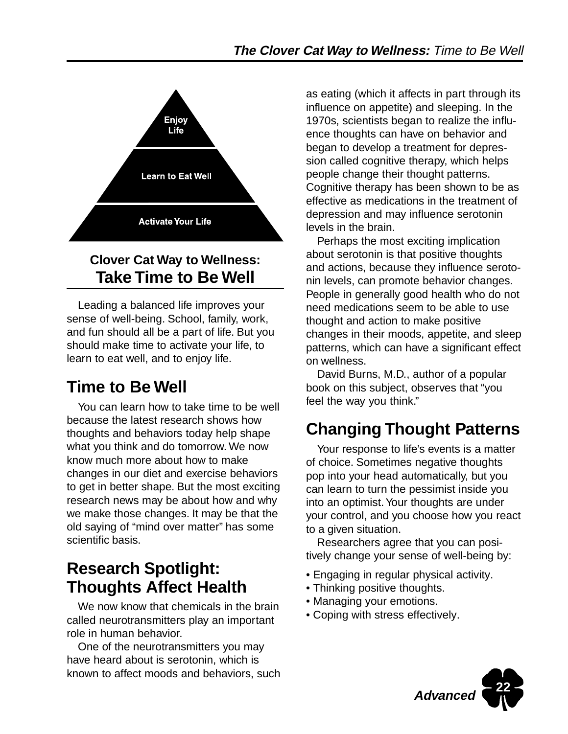

### **Clover Cat Way to Wellness: Take Time to Be Well**

Leading a balanced life improves your sense of well-being. School, family, work, and fun should all be a part of life. But you should make time to activate your life, to learn to eat well, and to enjoy life.

# **Time to Be Well**

You can learn how to take time to be well because the latest research shows how thoughts and behaviors today help shape what you think and do tomorrow. We now know much more about how to make changes in our diet and exercise behaviors to get in better shape. But the most exciting research news may be about how and why we make those changes. It may be that the old saying of "mind over matter" has some scientific basis.

### **Research Spotlight: Thoughts Affect Health**

We now know that chemicals in the brain called neurotransmitters play an important role in human behavior.

One of the neurotransmitters you may have heard about is serotonin, which is known to affect moods and behaviors, such as eating (which it affects in part through its influence on appetite) and sleeping. In the 1970s, scientists began to realize the influence thoughts can have on behavior and began to develop a treatment for depression called cognitive therapy, which helps people change their thought patterns. Cognitive therapy has been shown to be as effective as medications in the treatment of depression and may influence serotonin levels in the brain.

Perhaps the most exciting implication about serotonin is that positive thoughts and actions, because they influence serotonin levels, can promote behavior changes. People in generally good health who do not need medications seem to be able to use thought and action to make positive changes in their moods, appetite, and sleep patterns, which can have a significant effect on wellness.

David Burns, M.D., author of a popular book on this subject, observes that "you feel the way you think."

# **Changing Thought Patterns**

Your response to life's events is a matter of choice. Sometimes negative thoughts pop into your head automatically, but you can learn to turn the pessimist inside you into an optimist. Your thoughts are under your control, and you choose how you react to a given situation.

Researchers agree that you can positively change your sense of well-being by:

- Engaging in regular physical activity.
- Thinking positive thoughts.
- Managing your emotions.
- Coping with stress effectively.

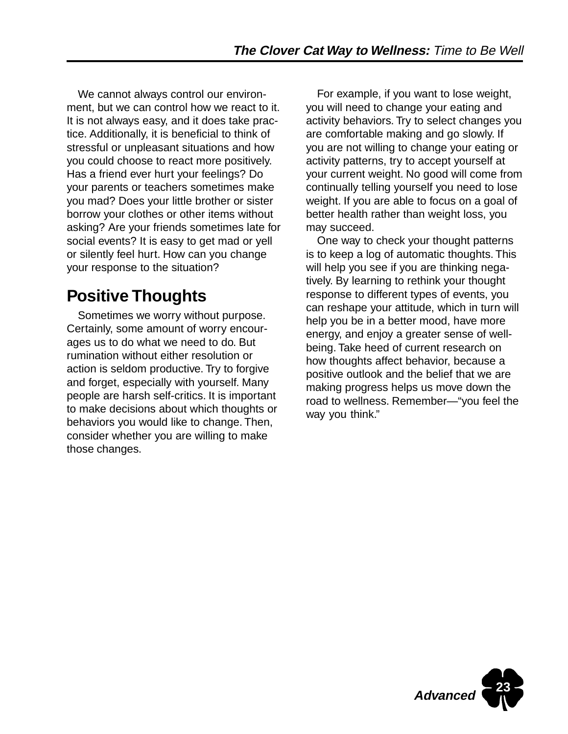We cannot always control our environment, but we can control how we react to it. It is not always easy, and it does take practice. Additionally, it is beneficial to think of stressful or unpleasant situations and how you could choose to react more positively. Has a friend ever hurt your feelings? Do your parents or teachers sometimes make you mad? Does your little brother or sister borrow your clothes or other items without asking? Are your friends sometimes late for social events? It is easy to get mad or yell or silently feel hurt. How can you change your response to the situation?

### **Positive Thoughts**

Sometimes we worry without purpose. Certainly, some amount of worry encourages us to do what we need to do. But rumination without either resolution or action is seldom productive. Try to forgive and forget, especially with yourself. Many people are harsh self-critics. It is important to make decisions about which thoughts or behaviors you would like to change. Then, consider whether you are willing to make those changes.

For example, if you want to lose weight, you will need to change your eating and activity behaviors. Try to select changes you are comfortable making and go slowly. If you are not willing to change your eating or activity patterns, try to accept yourself at your current weight. No good will come from continually telling yourself you need to lose weight. If you are able to focus on a goal of better health rather than weight loss, you may succeed.

One way to check your thought patterns is to keep a log of automatic thoughts. This will help you see if you are thinking negatively. By learning to rethink your thought response to different types of events, you can reshape your attitude, which in turn will help you be in a better mood, have more energy, and enjoy a greater sense of wellbeing. Take heed of current research on how thoughts affect behavior, because a positive outlook and the belief that we are making progress helps us move down the road to wellness. Remember—"you feel the way you think."

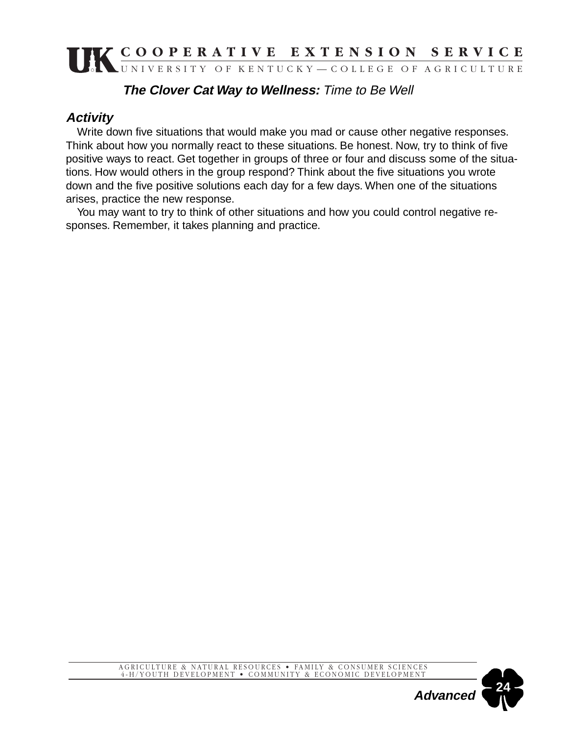#### **The Clover Cat Way to Wellness:** Time to Be Well

#### **Activity**

Write down five situations that would make you mad or cause other negative responses. Think about how you normally react to these situations. Be honest. Now, try to think of five positive ways to react. Get together in groups of three or four and discuss some of the situations. How would others in the group respond? Think about the five situations you wrote down and the five positive solutions each day for a few days. When one of the situations arises, practice the new response.

You may want to try to think of other situations and how you could control negative responses. Remember, it takes planning and practice.

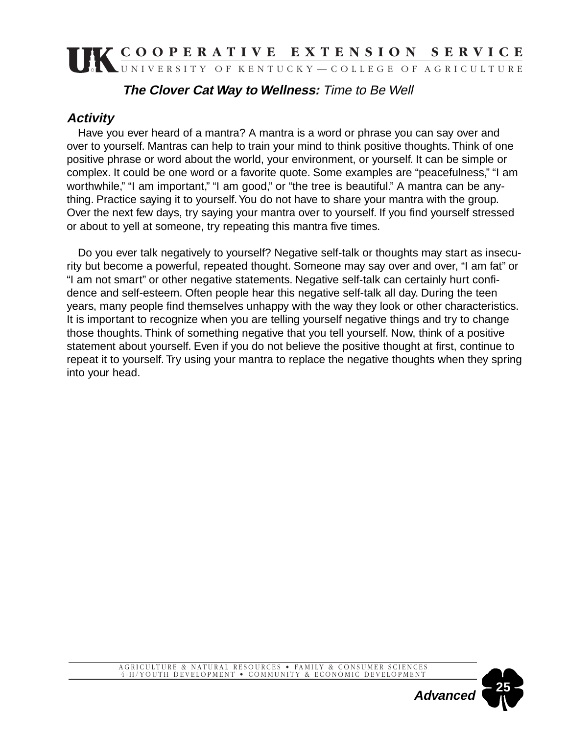#### **The Clover Cat Way to Wellness:** Time to Be Well

#### **Activity**

Have you ever heard of a mantra? A mantra is a word or phrase you can say over and over to yourself. Mantras can help to train your mind to think positive thoughts. Think of one positive phrase or word about the world, your environment, or yourself. It can be simple or complex. It could be one word or a favorite quote. Some examples are "peacefulness," "I am worthwhile," "I am important," "I am good," or "the tree is beautiful." A mantra can be anything. Practice saying it to yourself. You do not have to share your mantra with the group. Over the next few days, try saying your mantra over to yourself. If you find yourself stressed or about to yell at someone, try repeating this mantra five times.

Do you ever talk negatively to yourself? Negative self-talk or thoughts may start as insecurity but become a powerful, repeated thought. Someone may say over and over, "I am fat" or "I am not smart" or other negative statements. Negative self-talk can certainly hurt confidence and self-esteem. Often people hear this negative self-talk all day. During the teen years, many people find themselves unhappy with the way they look or other characteristics. It is important to recognize when you are telling yourself negative things and try to change those thoughts. Think of something negative that you tell yourself. Now, think of a positive statement about yourself. Even if you do not believe the positive thought at first, continue to repeat it to yourself. Try using your mantra to replace the negative thoughts when they spring into your head.

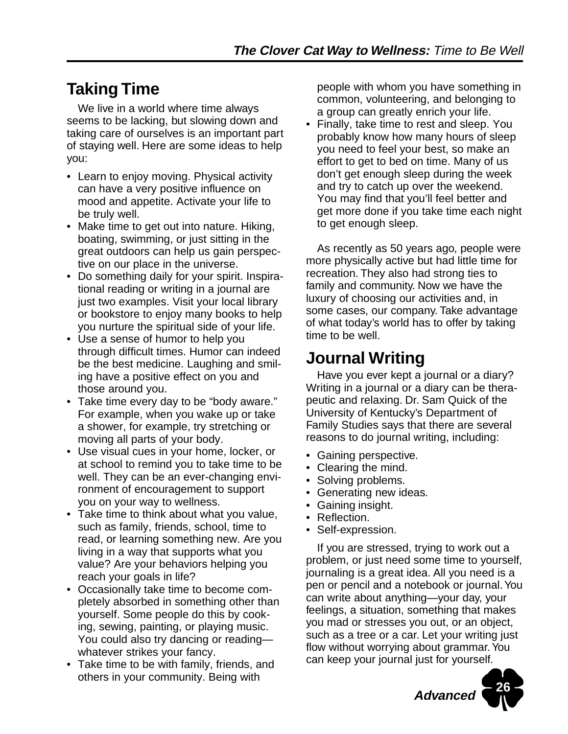## **Taking Time**

We live in a world where time always seems to be lacking, but slowing down and taking care of ourselves is an important part of staying well. Here are some ideas to help you:

- Learn to enjoy moving. Physical activity can have a very positive influence on mood and appetite. Activate your life to be truly well.
- Make time to get out into nature. Hiking, boating, swimming, or just sitting in the great outdoors can help us gain perspective on our place in the universe.
- Do something daily for your spirit. Inspirational reading or writing in a journal are just two examples. Visit your local library or bookstore to enjoy many books to help you nurture the spiritual side of your life.
- Use a sense of humor to help you through difficult times. Humor can indeed be the best medicine. Laughing and smiling have a positive effect on you and those around you.
- Take time every day to be "body aware." For example, when you wake up or take a shower, for example, try stretching or moving all parts of your body.
- Use visual cues in your home, locker, or at school to remind you to take time to be well. They can be an ever-changing environment of encouragement to support you on your way to wellness.
- Take time to think about what you value, such as family, friends, school, time to read, or learning something new. Are you living in a way that supports what you value? Are your behaviors helping you reach your goals in life?
- Occasionally take time to become completely absorbed in something other than yourself. Some people do this by cooking, sewing, painting, or playing music. You could also try dancing or reading whatever strikes your fancy.
- Take time to be with family, friends, and others in your community. Being with

people with whom you have something in common, volunteering, and belonging to a group can greatly enrich your life.

• Finally, take time to rest and sleep. You probably know how many hours of sleep you need to feel your best, so make an effort to get to bed on time. Many of us don't get enough sleep during the week and try to catch up over the weekend. You may find that you'll feel better and get more done if you take time each night to get enough sleep.

As recently as 50 years ago, people were more physically active but had little time for recreation. They also had strong ties to family and community. Now we have the luxury of choosing our activities and, in some cases, our company. Take advantage of what today's world has to offer by taking time to be well.

## **Journal Writing**

Have you ever kept a journal or a diary? Writing in a journal or a diary can be therapeutic and relaxing. Dr. Sam Quick of the University of Kentucky's Department of Family Studies says that there are several reasons to do journal writing, including:

- Gaining perspective.
- Clearing the mind.
- Solving problems.
- Generating new ideas.
- Gaining insight.
- Reflection.
- Self-expression.

If you are stressed, trying to work out a problem, or just need some time to yourself, journaling is a great idea. All you need is a pen or pencil and a notebook or journal. You can write about anything—your day, your feelings, a situation, something that makes you mad or stresses you out, or an object, such as a tree or a car. Let your writing just flow without worrying about grammar. You can keep your journal just for yourself.

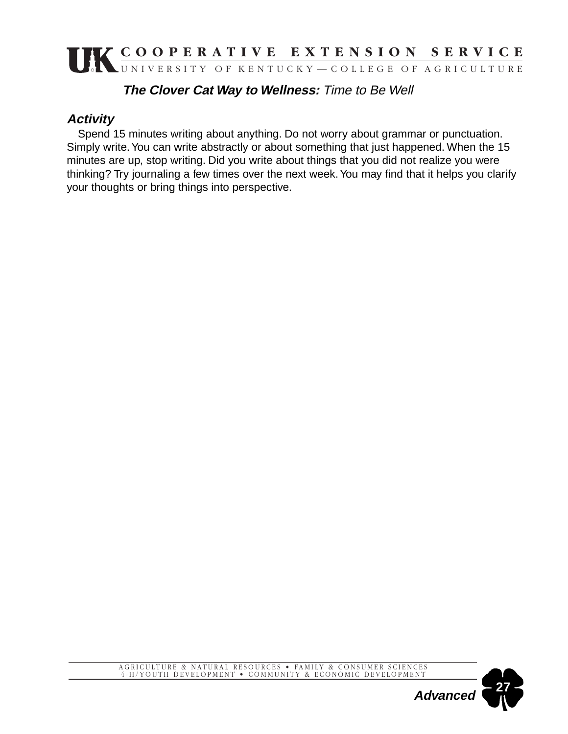#### **The Clover Cat Way to Wellness:** Time to Be Well

#### **Activity**

Spend 15 minutes writing about anything. Do not worry about grammar or punctuation. Simply write. You can write abstractly or about something that just happened. When the 15 minutes are up, stop writing. Did you write about things that you did not realize you were thinking? Try journaling a few times over the next week. You may find that it helps you clarify your thoughts or bring things into perspective.



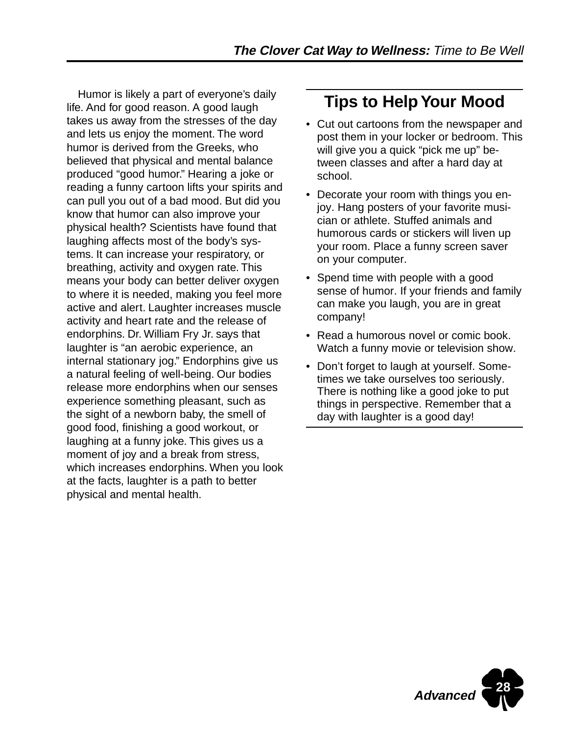Humor is likely a part of everyone's daily life. And for good reason. A good laugh takes us away from the stresses of the day and lets us enjoy the moment. The word humor is derived from the Greeks, who believed that physical and mental balance produced "good humor." Hearing a joke or reading a funny cartoon lifts your spirits and can pull you out of a bad mood. But did you know that humor can also improve your physical health? Scientists have found that laughing affects most of the body's systems. It can increase your respiratory, or breathing, activity and oxygen rate. This means your body can better deliver oxygen to where it is needed, making you feel more active and alert. Laughter increases muscle activity and heart rate and the release of endorphins. Dr. William Fry Jr. says that laughter is "an aerobic experience, an internal stationary jog." Endorphins give us a natural feeling of well-being. Our bodies release more endorphins when our senses experience something pleasant, such as the sight of a newborn baby, the smell of good food, finishing a good workout, or laughing at a funny joke. This gives us a moment of joy and a break from stress, which increases endorphins. When you look at the facts, laughter is a path to better physical and mental health.

### **Tips to Help Your Mood**

- Cut out cartoons from the newspaper and post them in your locker or bedroom. This will give you a quick "pick me up" between classes and after a hard day at school.
- Decorate your room with things you enjoy. Hang posters of your favorite musician or athlete. Stuffed animals and humorous cards or stickers will liven up your room. Place a funny screen saver on your computer.
- Spend time with people with a good sense of humor. If your friends and family can make you laugh, you are in great company!
- Read a humorous novel or comic book. Watch a funny movie or television show.
- Don't forget to laugh at yourself. Sometimes we take ourselves too seriously. There is nothing like a good joke to put things in perspective. Remember that a day with laughter is a good day!

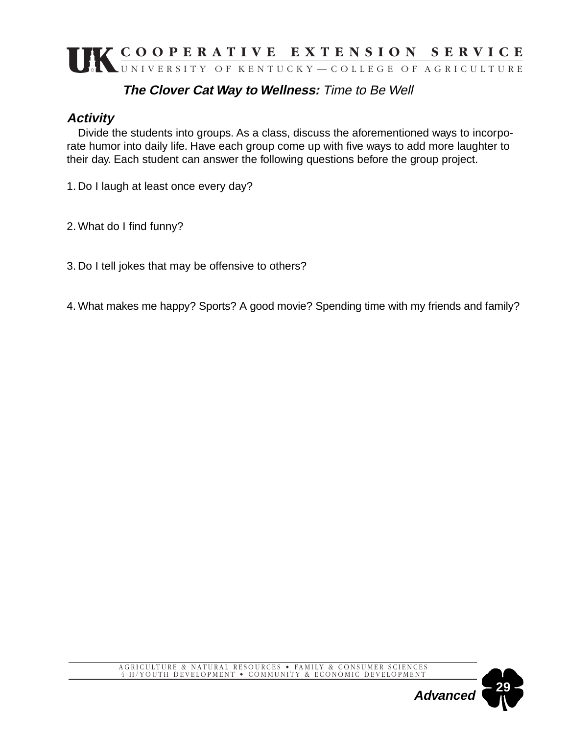#### **The Clover Cat Way to Wellness:** Time to Be Well

#### **Activity**

Divide the students into groups. As a class, discuss the aforementioned ways to incorporate humor into daily life. Have each group come up with five ways to add more laughter to their day. Each student can answer the following questions before the group project.

1. Do I laugh at least once every day?

2. What do I find funny?

3. Do I tell jokes that may be offensive to others?

4. What makes me happy? Sports? A good movie? Spending time with my friends and family?

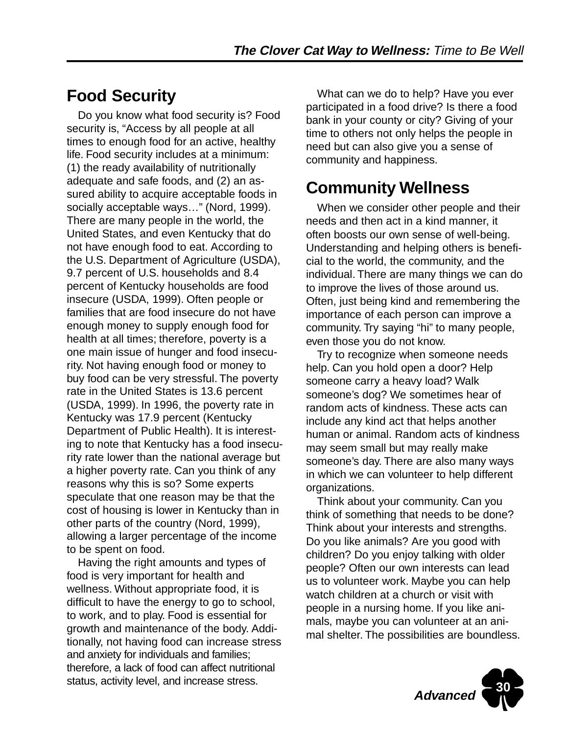# **Food Security**

Do you know what food security is? Food security is, "Access by all people at all times to enough food for an active, healthy life. Food security includes at a minimum: (1) the ready availability of nutritionally adequate and safe foods, and (2) an assured ability to acquire acceptable foods in socially acceptable ways…" (Nord, 1999). There are many people in the world, the United States, and even Kentucky that do not have enough food to eat. According to the U.S. Department of Agriculture (USDA), 9.7 percent of U.S. households and 8.4 percent of Kentucky households are food insecure (USDA, 1999). Often people or families that are food insecure do not have enough money to supply enough food for health at all times; therefore, poverty is a one main issue of hunger and food insecurity. Not having enough food or money to buy food can be very stressful. The poverty rate in the United States is 13.6 percent (USDA, 1999). In 1996, the poverty rate in Kentucky was 17.9 percent (Kentucky Department of Public Health). It is interesting to note that Kentucky has a food insecurity rate lower than the national average but a higher poverty rate. Can you think of any reasons why this is so? Some experts speculate that one reason may be that the cost of housing is lower in Kentucky than in other parts of the country (Nord, 1999), allowing a larger percentage of the income to be spent on food.

Having the right amounts and types of food is very important for health and wellness. Without appropriate food, it is difficult to have the energy to go to school, to work, and to play. Food is essential for growth and maintenance of the body. Additionally, not having food can increase stress and anxiety for individuals and families; therefore, a lack of food can affect nutritional status, activity level, and increase stress.

What can we do to help? Have you ever participated in a food drive? Is there a food bank in your county or city? Giving of your time to others not only helps the people in need but can also give you a sense of community and happiness.

# **Community Wellness**

When we consider other people and their needs and then act in a kind manner, it often boosts our own sense of well-being. Understanding and helping others is beneficial to the world, the community, and the individual. There are many things we can do to improve the lives of those around us. Often, just being kind and remembering the importance of each person can improve a community. Try saying "hi" to many people, even those you do not know.

Try to recognize when someone needs help. Can you hold open a door? Help someone carry a heavy load? Walk someone's dog? We sometimes hear of random acts of kindness. These acts can include any kind act that helps another human or animal. Random acts of kindness may seem small but may really make someone's day. There are also many ways in which we can volunteer to help different organizations.

Think about your community. Can you think of something that needs to be done? Think about your interests and strengths. Do you like animals? Are you good with children? Do you enjoy talking with older people? Often our own interests can lead us to volunteer work. Maybe you can help watch children at a church or visit with people in a nursing home. If you like animals, maybe you can volunteer at an animal shelter. The possibilities are boundless.

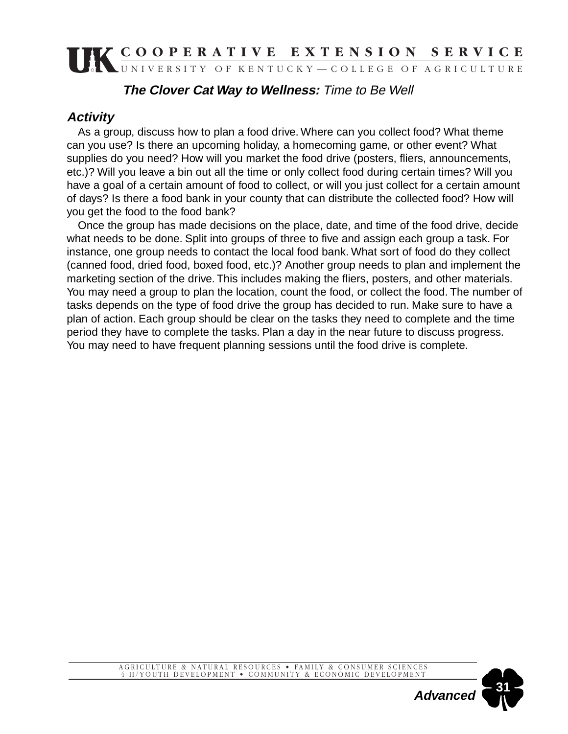#### **The Clover Cat Way to Wellness:** Time to Be Well

#### **Activity**

As a group, discuss how to plan a food drive. Where can you collect food? What theme can you use? Is there an upcoming holiday, a homecoming game, or other event? What supplies do you need? How will you market the food drive (posters, fliers, announcements, etc.)? Will you leave a bin out all the time or only collect food during certain times? Will you have a goal of a certain amount of food to collect, or will you just collect for a certain amount of days? Is there a food bank in your county that can distribute the collected food? How will you get the food to the food bank?

Once the group has made decisions on the place, date, and time of the food drive, decide what needs to be done. Split into groups of three to five and assign each group a task. For instance, one group needs to contact the local food bank. What sort of food do they collect (canned food, dried food, boxed food, etc.)? Another group needs to plan and implement the marketing section of the drive. This includes making the fliers, posters, and other materials. You may need a group to plan the location, count the food, or collect the food. The number of tasks depends on the type of food drive the group has decided to run. Make sure to have a plan of action. Each group should be clear on the tasks they need to complete and the time period they have to complete the tasks. Plan a day in the near future to discuss progress. You may need to have frequent planning sessions until the food drive is complete.